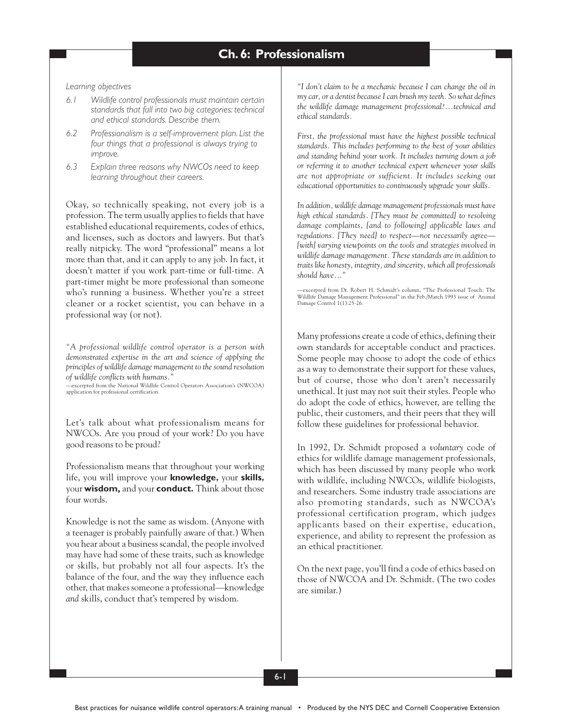*Learning objectives*

- *6.1 Wildlife control professionals must maintain certain standards that fall into two big categories: technical and ethical standards. Describe them.*
- *6.2 Professionalism is a self-improvement plan. List the four things that a professional is always trying to improve.*
- *6.3 Explain three reasons why NWCOs need to keep learning throughout their careers.*

Okay, so technically speaking, not every job is a profession. The term usually applies to fields that have established educational requirements, codes of ethics, and licenses, such as doctors and lawyers. But that's really nitpicky. The word "professional" means a lot more than that, and it can apply to any job. In fact, it doesn't matter if you work part-time or full-time. A part-timer might be more professional than someone who's running a business. Whether you're a street cleaner or a rocket scientist, you can behave in a professional way (or not).

*"A professional wildlife control operator is a person with demonstrated expertise in the art and science of applying the principles of wildlife damage management to the sound resolution of wildlife conflicts with humans."*

—excerpted from the National Wildlife Control Operators Association's (NWCOA) application for professional certification

Let's talk about what professionalism means for NWCOs. Are you proud of your work? Do you have good reasons to be proud?

Professionalism means that throughout your working life, you will improve your **knowledge,** your **skills,** your **wisdom,** and your **conduct.** Think about those four words.

Knowledge is not the same as wisdom. (Anyone with a teenager is probably painfully aware of that.) When you hear about a business scandal, the people involved may have had some of these traits, such as knowledge or skills, but probably not all four aspects. It's the balance of the four, and the way they influence each other, that makes someone a professional—knowledge *and* skills, conduct that's tempered by wisdom.

*"I don't claim to be a mechanic because I can change the oil in my car, or a dentist because I can brush my teeth. So what defines the wildlife damage management professional?…technical and ethical standards.*

*First, the professional must have the highest possible technical standards. This includes performing to the best of your abilities and standing behind your work. It includes turning down a job or referring it to another technical expert whenever your skills are not appropriate or sufficient. It includes seeking out educational opportunities to continuously upgrade your skills.*

*In addition, wildlife damage management professionals must have high ethical standards. [They must be committed] to resolving damage complaints, [and to following] applicable laws and regulations. [They need] to respect—not necessarily agree— [with] varying viewpoints on the tools and strategies involved in wildlife damage management. These standards are in addition to traits like honesty, integrity, and sincerity, which all professionals should have…"*

—excerpted from Dr. Robert H. Schmidt's column, "The Professional Touch: The Wildlife Damage Management Professional" in the Feb./March 1993 issue of Animal Damage Control 1(1):25-26.

Many professions create a code of ethics, defining their own standards for acceptable conduct and practices. Some people may choose to adopt the code of ethics as a way to demonstrate their support for these values, but of course, those who don't aren't necessarily unethical. It just may not suit their styles. People who do adopt the code of ethics, however, are telling the public, their customers, and their peers that they will follow these guidelines for professional behavior.

In 1992, Dr. Schmidt proposed a *voluntary* code of ethics for wildlife damage management professionals, which has been discussed by many people who work with wildlife, including NWCOs, wildlife biologists, and researchers. Some industry trade associations are also promoting standards, such as NWCOA's professional certification program, which judges applicants based on their expertise, education, experience, and ability to represent the profession as an ethical practitioner.

On the next page, you'll find a code of ethics based on those of NWCOA and Dr. Schmidt. (The two codes are similar.)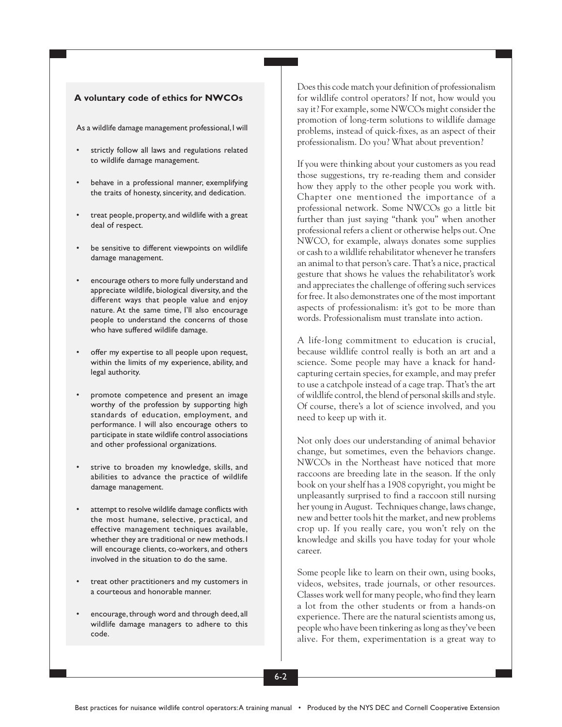#### **A voluntary code of ethics for NWCOs**

As a wildlife damage management professional, I will

- strictly follow all laws and regulations related to wildlife damage management.
- behave in a professional manner, exemplifying the traits of honesty, sincerity, and dedication.
- treat people, property, and wildlife with a great deal of respect.
- be sensitive to different viewpoints on wildlife damage management.
- encourage others to more fully understand and appreciate wildlife, biological diversity, and the different ways that people value and enjoy nature. At the same time, I'll also encourage people to understand the concerns of those who have suffered wildlife damage.
- offer my expertise to all people upon request, within the limits of my experience, ability, and legal authority.
- promote competence and present an image worthy of the profession by supporting high standards of education, employment, and performance. I will also encourage others to participate in state wildlife control associations and other professional organizations.
- strive to broaden my knowledge, skills, and abilities to advance the practice of wildlife damage management.
- attempt to resolve wildlife damage conflicts with the most humane, selective, practical, and effective management techniques available, whether they are traditional or new methods. I will encourage clients, co-workers, and others involved in the situation to do the same.
- treat other practitioners and my customers in a courteous and honorable manner.
- encourage, through word and through deed, all wildlife damage managers to adhere to this code.

Does this code match your definition of professionalism for wildlife control operators? If not, how would you say it? For example, some NWCOs might consider the promotion of long-term solutions to wildlife damage problems, instead of quick-fixes, as an aspect of their professionalism. Do you? What about prevention?

If you were thinking about your customers as you read those suggestions, try re-reading them and consider how they apply to the other people you work with. Chapter one mentioned the importance of a professional network. Some NWCOs go a little bit further than just saying "thank you" when another professional refers a client or otherwise helps out. One NWCO, for example, always donates some supplies or cash to a wildlife rehabilitator whenever he transfers an animal to that person's care. That's a nice, practical gesture that shows he values the rehabilitator's work and appreciates the challenge of offering such services for free. It also demonstrates one of the most important aspects of professionalism: it's got to be more than words. Professionalism must translate into action.

A life-long commitment to education is crucial, because wildlife control really is both an art and a science. Some people may have a knack for handcapturing certain species, for example, and may prefer to use a catchpole instead of a cage trap. That's the art of wildlife control, the blend of personal skills and style. Of course, there's a lot of science involved, and you need to keep up with it.

Not only does our understanding of animal behavior change, but sometimes, even the behaviors change. NWCOs in the Northeast have noticed that more raccoons are breeding late in the season. If the only book on your shelf has a 1908 copyright, you might be unpleasantly surprised to find a raccoon still nursing her young in August. Techniques change, laws change, new and better tools hit the market, and new problems crop up. If you really care, you won't rely on the knowledge and skills you have today for your whole career.

Some people like to learn on their own, using books, videos, websites, trade journals, or other resources. Classes work well for many people, who find they learn a lot from the other students or from a hands-on experience. There are the natural scientists among us, people who have been tinkering as long as they've been alive. For them, experimentation is a great way to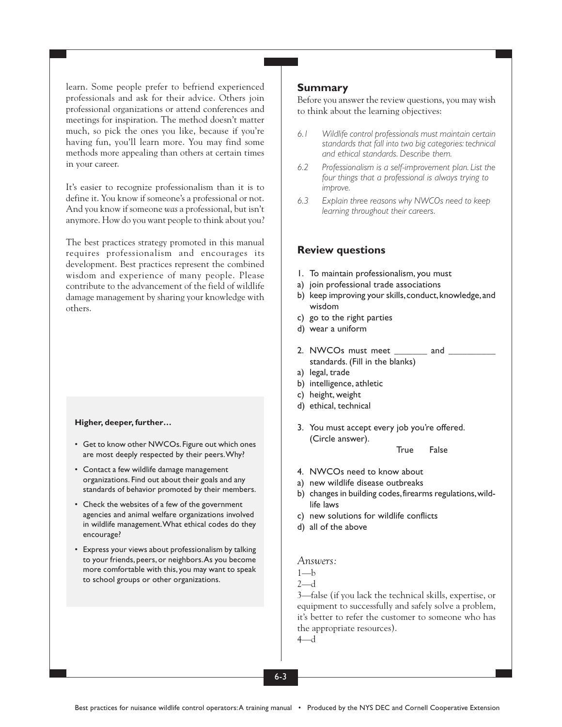learn. Some people prefer to befriend experienced professionals and ask for their advice. Others join professional organizations or attend conferences and meetings for inspiration. The method doesn't matter much, so pick the ones you like, because if you're having fun, you'll learn more. You may find some methods more appealing than others at certain times in your career.

It's easier to recognize professionalism than it is to define it. You know if someone's a professional or not. And you know if someone *was* a professional, but isn't anymore. How do you want people to think about you?

The best practices strategy promoted in this manual requires professionalism and encourages its development. Best practices represent the combined wisdom and experience of many people. Please contribute to the advancement of the field of wildlife damage management by sharing your knowledge with others.

#### **Higher, deeper, further…**

- Get to know other NWCOs. Figure out which ones are most deeply respected by their peers. Why?
- Contact a few wildlife damage management organizations. Find out about their goals and any standards of behavior promoted by their members.
- Check the websites of a few of the government agencies and animal welfare organizations involved in wildlife management. What ethical codes do they encourage?
- Express your views about professionalism by talking to your friends, peers, or neighbors. As you become more comfortable with this, you may want to speak to school groups or other organizations.

## **Summary**

Before you answer the review questions, you may wish to think about the learning objectives:

- *6.1 Wildlife control professionals must maintain certain standards that fall into two big categories: technical and ethical standards. Describe them.*
- *6.2 Professionalism is a self-improvement plan. List the four things that a professional is always trying to improve.*
- *6.3 Explain three reasons why NWCOs need to keep learning throughout their careers.*

### **Review questions**

- 1. To maintain professionalism, you must
- a) join professional trade associations
- b) keep improving your skills, conduct, knowledge, and wisdom
- c) go to the right parties
- d) wear a uniform
- 2. NWCOs must meet \_\_\_\_\_\_\_\_ and standards. (Fill in the blanks)
- a) legal, trade
- b) intelligence, athletic
- c) height, weight
- d) ethical, technical
- 3. You must accept every job you're offered. (Circle answer).

True False

- 4. NWCOs need to know about
- a) new wildlife disease outbreaks
- b) changes in building codes, firearms regulations, wildlife laws
- c) new solutions for wildlife conflicts
- d) all of the above

## *Answers:*

 $1-h$ 

 $2-d$ 

3—false (if you lack the technical skills, expertise, or equipment to successfully and safely solve a problem, it's better to refer the customer to someone who has the appropriate resources).

4—d